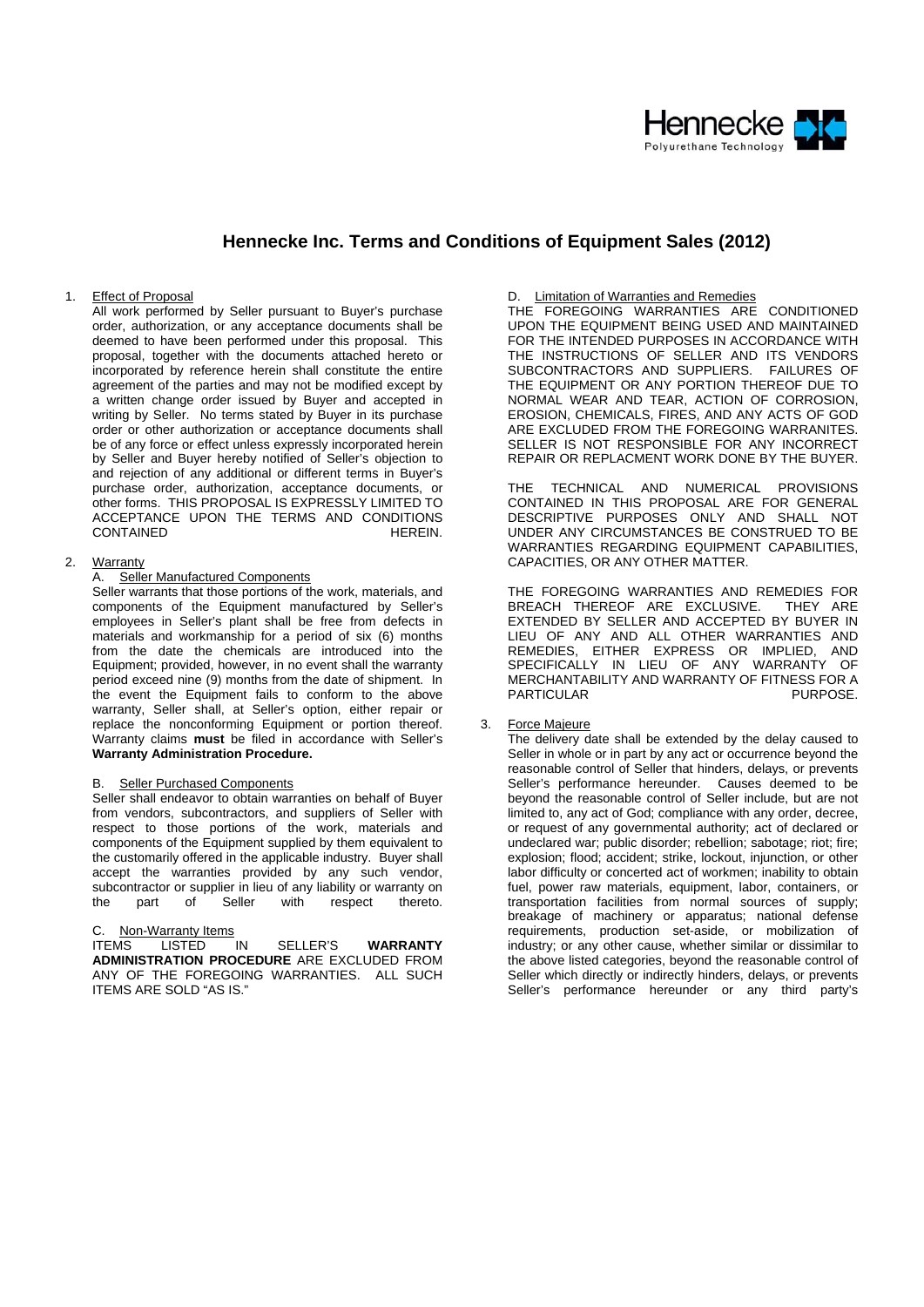

## **Hennecke Inc. Terms and Conditions of Equipment Sales (2012)**

## 1. Effect of Proposal

All work performed by Seller pursuant to Buyer's purchase order, authorization, or any acceptance documents shall be deemed to have been performed under this proposal. This proposal, together with the documents attached hereto or incorporated by reference herein shall constitute the entire agreement of the parties and may not be modified except by a written change order issued by Buyer and accepted in writing by Seller. No terms stated by Buyer in its purchase order or other authorization or acceptance documents shall be of any force or effect unless expressly incorporated herein by Seller and Buyer hereby notified of Seller's objection to and rejection of any additional or different terms in Buyer's purchase order, authorization, acceptance documents, or other forms. THIS PROPOSAL IS EXPRESSLY LIMITED TO ACCEPTANCE UPON THE TERMS AND CONDITIONS<br>CONTAINED HEREIN. CONTAINED

#### 2. Warranty

## A. Seller Manufactured Components

Seller warrants that those portions of the work, materials, and components of the Equipment manufactured by Seller's employees in Seller's plant shall be free from defects in materials and workmanship for a period of six (6) months from the date the chemicals are introduced into the Equipment; provided, however, in no event shall the warranty period exceed nine (9) months from the date of shipment. In the event the Equipment fails to conform to the above warranty, Seller shall, at Seller's option, either repair or replace the nonconforming Equipment or portion thereof. Warranty claims **must** be filed in accordance with Seller's **Warranty Administration Procedure.** 

## Seller Purchased Components

Seller shall endeavor to obtain warranties on behalf of Buyer from vendors, subcontractors, and suppliers of Seller with respect to those portions of the work, materials and components of the Equipment supplied by them equivalent to the customarily offered in the applicable industry. Buyer shall accept the warranties provided by any such vendor, subcontractor or supplier in lieu of any liability or warranty on the part of Seller with respect thereto.

# C. Non-Warranty Items<br>ITEMS LISTED IN

SELLER'S **WARRANTY ADMINISTRATION PROCEDURE** ARE EXCLUDED FROM ANY OF THE FOREGOING WARRANTIES. ALL SUCH ITEMS ARE SOLD "AS IS."

## D. Limitation of Warranties and Remedies

THE FOREGOING WARRANTIES ARE CONDITIONED UPON THE EQUIPMENT BEING USED AND MAINTAINED FOR THE INTENDED PURPOSES IN ACCORDANCE WITH THE INSTRUCTIONS OF SELLER AND ITS VENDORS SUBCONTRACTORS AND SUPPLIERS. FAILURES OF THE EQUIPMENT OR ANY PORTION THEREOF DUE TO NORMAL WEAR AND TEAR, ACTION OF CORROSION, EROSION, CHEMICALS, FIRES, AND ANY ACTS OF GOD ARE EXCLUDED FROM THE FOREGOING WARRANITES. SELLER IS NOT RESPONSIBLE FOR ANY INCORRECT REPAIR OR REPLACMENT WORK DONE BY THE BUYER.

THE TECHNICAL AND NUMERICAL PROVISIONS CONTAINED IN THIS PROPOSAL ARE FOR GENERAL DESCRIPTIVE PURPOSES ONLY AND SHALL NOT UNDER ANY CIRCUMSTANCES BE CONSTRUED TO BE WARRANTIES REGARDING EQUIPMENT CAPABILITIES, CAPACITIES, OR ANY OTHER MATTER.

THE FOREGOING WARRANTIES AND REMEDIES FOR BREACH THEREOF ARE EXCLUSIVE. THEY ARE EXTENDED BY SELLER AND ACCEPTED BY BUYER IN LIEU OF ANY AND ALL OTHER WARRANTIES AND REMEDIES, EITHER EXPRESS OR IMPLIED, AND SPECIFICALLY IN LIEU OF ANY WARRANTY OF MERCHANTABILITY AND WARRANTY OF FITNESS FOR A<br>PARTICULAR PARTICULAR

## 3. Force Majeure

The delivery date shall be extended by the delay caused to Seller in whole or in part by any act or occurrence beyond the reasonable control of Seller that hinders, delays, or prevents Seller's performance hereunder. Causes deemed to be beyond the reasonable control of Seller include, but are not limited to, any act of God; compliance with any order, decree, or request of any governmental authority; act of declared or undeclared war; public disorder; rebellion; sabotage; riot; fire; explosion; flood; accident; strike, lockout, injunction, or other labor difficulty or concerted act of workmen; inability to obtain fuel, power raw materials, equipment, labor, containers, or transportation facilities from normal sources of supply; breakage of machinery or apparatus; national defense requirements, production set-aside, or mobilization of industry; or any other cause, whether similar or dissimilar to the above listed categories, beyond the reasonable control of Seller which directly or indirectly hinders, delays, or prevents Seller's performance hereunder or any third party's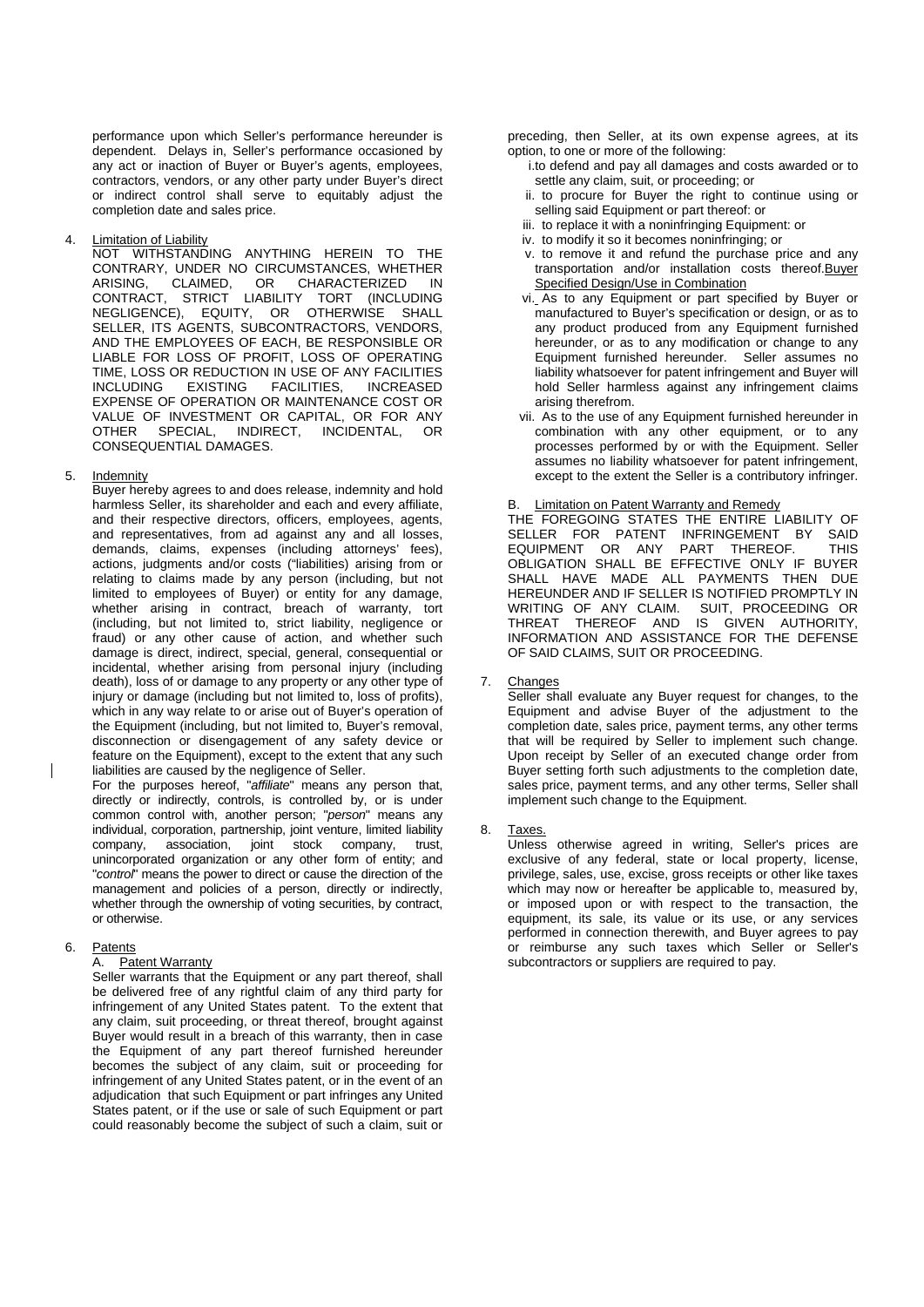performance upon which Seller's performance hereunder is dependent. Delays in, Seller's performance occasioned by any act or inaction of Buyer or Buyer's agents, employees, contractors, vendors, or any other party under Buyer's direct or indirect control shall serve to equitably adjust the completion date and sales price.

**Limitation of Liability** 

NOT WITHSTANDING ANYTHING HEREIN TO THE CONTRARY, UNDER NO CIRCUMSTANCES, WHETHER<br>ARISING. CLAIMED. OR CHARACTERIZED IN ARISING, CLAIMED, OR CHARACTERIZED IN<br>CONTRACT, STRICT LIABILITY TORT (INCLUDING STRICT LIABILITY TORT (INCLUDING NEGLIGENCE), EQUITY, OR OTHERWISE SHALL SELLER, ITS AGENTS, SUBCONTRACTORS, VENDORS, AND THE EMPLOYEES OF EACH, BE RESPONSIBLE OR LIABLE FOR LOSS OF PROFIT, LOSS OF OPERATING TIME, LOSS OR REDUCTION IN USE OF ANY FACILITIES INCLUDING EXISTING FACILITIES, INCREASED EXPENSE OF OPERATION OR MAINTENANCE COST OR VALUE OF INVESTMENT OR CAPITAL, OR FOR ANY OTHER SPECIAL, INDIRECT, INCIDENTAL, OR CONSEQUENTIAL DAMAGES.

## 5. Indemnity

Buyer hereby agrees to and does release, indemnity and hold harmless Seller, its shareholder and each and every affiliate, and their respective directors, officers, employees, agents, and representatives, from ad against any and all losses, demands, claims, expenses (including attorneys' fees), actions, judgments and/or costs ("liabilities) arising from or relating to claims made by any person (including, but not limited to employees of Buyer) or entity for any damage, whether arising in contract, breach of warranty, tort (including, but not limited to, strict liability, negligence or fraud) or any other cause of action, and whether such damage is direct, indirect, special, general, consequential or incidental, whether arising from personal injury (including death), loss of or damage to any property or any other type of injury or damage (including but not limited to, loss of profits), which in any way relate to or arise out of Buyer's operation of the Equipment (including, but not limited to, Buyer's removal, disconnection or disengagement of any safety device or feature on the Equipment), except to the extent that any such liabilities are caused by the negligence of Seller.

For the purposes hereof, "*affiliate*" means any person that, directly or indirectly, controls, is controlled by, or is under common control with, another person; "*person*" means any individual, corporation, partnership, joint venture, limited liability company, association, joint stock company, trust, unincorporated organization or any other form of entity; and "*control*" means the power to direct or cause the direction of the management and policies of a person, directly or indirectly, whether through the ownership of voting securities, by contract, or otherwise.

## 6. Patents

#### A. Patent Warranty

Seller warrants that the Equipment or any part thereof, shall be delivered free of any rightful claim of any third party for infringement of any United States patent. To the extent that any claim, suit proceeding, or threat thereof, brought against Buyer would result in a breach of this warranty, then in case the Equipment of any part thereof furnished hereunder becomes the subject of any claim, suit or proceeding for infringement of any United States patent, or in the event of an adjudication that such Equipment or part infringes any United States patent, or if the use or sale of such Equipment or part could reasonably become the subject of such a claim, suit or

preceding, then Seller, at its own expense agrees, at its option, to one or more of the following:

- i.to defend and pay all damages and costs awarded or to settle any claim, suit, or proceeding; or
- ii. to procure for Buyer the right to continue using or selling said Equipment or part thereof: or
- iii. to replace it with a noninfringing Equipment: or
- iv. to modify it so it becomes noninfringing; or
- v. to remove it and refund the purchase price and any transportation and/or installation costs thereof.Buyer Specified Design/Use in Combination
- vi. As to any Equipment or part specified by Buyer or manufactured to Buyer's specification or design, or as to any product produced from any Equipment furnished hereunder, or as to any modification or change to any Equipment furnished hereunder. Seller assumes no liability whatsoever for patent infringement and Buyer will hold Seller harmless against any infringement claims arising therefrom.
- vii. As to the use of any Equipment furnished hereunder in combination with any other equipment, or to any processes performed by or with the Equipment. Seller assumes no liability whatsoever for patent infringement, except to the extent the Seller is a contributory infringer.

## B. Limitation on Patent Warranty and Remedy

THE FOREGOING STATES THE ENTIRE LIABILITY OF SELLER FOR PATENT INFRINGEMENT BY SAID EQUIPMENT OR ANY PART THEREOF. THIS OBLIGATION SHALL BE EFFECTIVE ONLY IF BUYER SHALL HAVE MADE ALL PAYMENTS THEN DUE HEREUNDER AND IF SELLER IS NOTIFIED PROMPTLY IN WRITING OF ANY CLAIM. SUIT, PROCEEDING OR THREAT THEREOF AND IS GIVEN AUTHORITY, INFORMATION AND ASSISTANCE FOR THE DEFENSE OF SAID CLAIMS, SUIT OR PROCEEDING.

7. Changes

Seller shall evaluate any Buyer request for changes, to the Equipment and advise Buyer of the adjustment to the completion date, sales price, payment terms, any other terms that will be required by Seller to implement such change. Upon receipt by Seller of an executed change order from Buyer setting forth such adjustments to the completion date, sales price, payment terms, and any other terms, Seller shall implement such change to the Equipment.

8. Taxes.

Unless otherwise agreed in writing, Seller's prices are exclusive of any federal, state or local property, license, privilege, sales, use, excise, gross receipts or other like taxes which may now or hereafter be applicable to, measured by, or imposed upon or with respect to the transaction, the equipment, its sale, its value or its use, or any services performed in connection therewith, and Buyer agrees to pay or reimburse any such taxes which Seller or Seller's subcontractors or suppliers are required to pay.